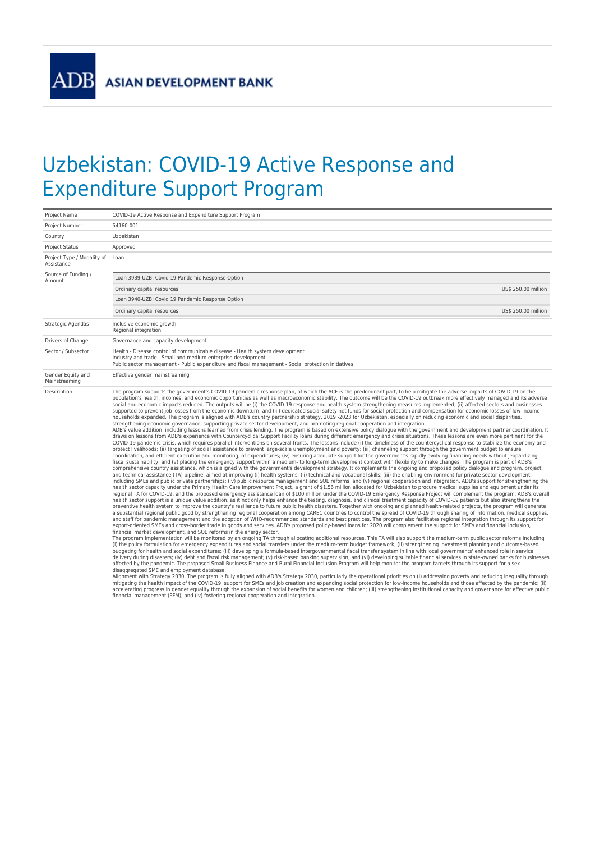**ADB** 

## Uzbekistan: COVID-19 Active Response and Expenditure Support Program

| Project Name                                  | COVID-19 Active Response and Expenditure Support Program                                                                                                                                                                                                                                                                                                                                                                                                                                                                                                                                                                                                                                                                                                                                                                                                                                                                                                                                                                                                                                                                                                                                                                                                                                                                                                                                                                                                                                                                                                                                                                                                                                                                                                                                                                                                                                                                                                                                                                                                                                                                                                                                                                                                                                                                                                                                                                                                                                                                                                                                                                                                                                                                                                                                                                                                                                                                                                                                                                                                                                                                                                                                                                                                                                                                                                                                                                                                                                                                                                                                                                                                                                                                                                                                                                                                                                                                                                                                                                                                                                                                                                                                                                                                                                                                                                                                                                                                                                                                                                                                                                                                                                                                                                                                                                                                                                                                                                                                                                                                                                                                                                                                                                                                                                                                                                                                                                                                                                                                                                                                                                                                                                                                                                               |
|-----------------------------------------------|------------------------------------------------------------------------------------------------------------------------------------------------------------------------------------------------------------------------------------------------------------------------------------------------------------------------------------------------------------------------------------------------------------------------------------------------------------------------------------------------------------------------------------------------------------------------------------------------------------------------------------------------------------------------------------------------------------------------------------------------------------------------------------------------------------------------------------------------------------------------------------------------------------------------------------------------------------------------------------------------------------------------------------------------------------------------------------------------------------------------------------------------------------------------------------------------------------------------------------------------------------------------------------------------------------------------------------------------------------------------------------------------------------------------------------------------------------------------------------------------------------------------------------------------------------------------------------------------------------------------------------------------------------------------------------------------------------------------------------------------------------------------------------------------------------------------------------------------------------------------------------------------------------------------------------------------------------------------------------------------------------------------------------------------------------------------------------------------------------------------------------------------------------------------------------------------------------------------------------------------------------------------------------------------------------------------------------------------------------------------------------------------------------------------------------------------------------------------------------------------------------------------------------------------------------------------------------------------------------------------------------------------------------------------------------------------------------------------------------------------------------------------------------------------------------------------------------------------------------------------------------------------------------------------------------------------------------------------------------------------------------------------------------------------------------------------------------------------------------------------------------------------------------------------------------------------------------------------------------------------------------------------------------------------------------------------------------------------------------------------------------------------------------------------------------------------------------------------------------------------------------------------------------------------------------------------------------------------------------------------------------------------------------------------------------------------------------------------------------------------------------------------------------------------------------------------------------------------------------------------------------------------------------------------------------------------------------------------------------------------------------------------------------------------------------------------------------------------------------------------------------------------------------------------------------------------------------------------------------------------------------------------------------------------------------------------------------------------------------------------------------------------------------------------------------------------------------------------------------------------------------------------------------------------------------------------------------------------------------------------------------------------------------------------------------------------------------------------------------------------------------------------------------------------------------------------------------------------------------------------------------------------------------------------------------------------------------------------------------------------------------------------------------------------------------------------------------------------------------------------------------------------------------------------------------------------------------------------------------------------------------------------------------------------------------------------------------------------------------------------------------------------------------------------------------------------------------------------------------------------------------------------------------------------------------------------------------------------------------------------------------------------------------------------------------------------------------------------------------------------------------------------|
|                                               | 54160-001                                                                                                                                                                                                                                                                                                                                                                                                                                                                                                                                                                                                                                                                                                                                                                                                                                                                                                                                                                                                                                                                                                                                                                                                                                                                                                                                                                                                                                                                                                                                                                                                                                                                                                                                                                                                                                                                                                                                                                                                                                                                                                                                                                                                                                                                                                                                                                                                                                                                                                                                                                                                                                                                                                                                                                                                                                                                                                                                                                                                                                                                                                                                                                                                                                                                                                                                                                                                                                                                                                                                                                                                                                                                                                                                                                                                                                                                                                                                                                                                                                                                                                                                                                                                                                                                                                                                                                                                                                                                                                                                                                                                                                                                                                                                                                                                                                                                                                                                                                                                                                                                                                                                                                                                                                                                                                                                                                                                                                                                                                                                                                                                                                                                                                                                                              |
| Project Number                                |                                                                                                                                                                                                                                                                                                                                                                                                                                                                                                                                                                                                                                                                                                                                                                                                                                                                                                                                                                                                                                                                                                                                                                                                                                                                                                                                                                                                                                                                                                                                                                                                                                                                                                                                                                                                                                                                                                                                                                                                                                                                                                                                                                                                                                                                                                                                                                                                                                                                                                                                                                                                                                                                                                                                                                                                                                                                                                                                                                                                                                                                                                                                                                                                                                                                                                                                                                                                                                                                                                                                                                                                                                                                                                                                                                                                                                                                                                                                                                                                                                                                                                                                                                                                                                                                                                                                                                                                                                                                                                                                                                                                                                                                                                                                                                                                                                                                                                                                                                                                                                                                                                                                                                                                                                                                                                                                                                                                                                                                                                                                                                                                                                                                                                                                                                        |
| Country                                       | Uzbekistan                                                                                                                                                                                                                                                                                                                                                                                                                                                                                                                                                                                                                                                                                                                                                                                                                                                                                                                                                                                                                                                                                                                                                                                                                                                                                                                                                                                                                                                                                                                                                                                                                                                                                                                                                                                                                                                                                                                                                                                                                                                                                                                                                                                                                                                                                                                                                                                                                                                                                                                                                                                                                                                                                                                                                                                                                                                                                                                                                                                                                                                                                                                                                                                                                                                                                                                                                                                                                                                                                                                                                                                                                                                                                                                                                                                                                                                                                                                                                                                                                                                                                                                                                                                                                                                                                                                                                                                                                                                                                                                                                                                                                                                                                                                                                                                                                                                                                                                                                                                                                                                                                                                                                                                                                                                                                                                                                                                                                                                                                                                                                                                                                                                                                                                                                             |
| <b>Project Status</b>                         | Approved                                                                                                                                                                                                                                                                                                                                                                                                                                                                                                                                                                                                                                                                                                                                                                                                                                                                                                                                                                                                                                                                                                                                                                                                                                                                                                                                                                                                                                                                                                                                                                                                                                                                                                                                                                                                                                                                                                                                                                                                                                                                                                                                                                                                                                                                                                                                                                                                                                                                                                                                                                                                                                                                                                                                                                                                                                                                                                                                                                                                                                                                                                                                                                                                                                                                                                                                                                                                                                                                                                                                                                                                                                                                                                                                                                                                                                                                                                                                                                                                                                                                                                                                                                                                                                                                                                                                                                                                                                                                                                                                                                                                                                                                                                                                                                                                                                                                                                                                                                                                                                                                                                                                                                                                                                                                                                                                                                                                                                                                                                                                                                                                                                                                                                                                                               |
| Project Type / Modality of Loan<br>Assistance |                                                                                                                                                                                                                                                                                                                                                                                                                                                                                                                                                                                                                                                                                                                                                                                                                                                                                                                                                                                                                                                                                                                                                                                                                                                                                                                                                                                                                                                                                                                                                                                                                                                                                                                                                                                                                                                                                                                                                                                                                                                                                                                                                                                                                                                                                                                                                                                                                                                                                                                                                                                                                                                                                                                                                                                                                                                                                                                                                                                                                                                                                                                                                                                                                                                                                                                                                                                                                                                                                                                                                                                                                                                                                                                                                                                                                                                                                                                                                                                                                                                                                                                                                                                                                                                                                                                                                                                                                                                                                                                                                                                                                                                                                                                                                                                                                                                                                                                                                                                                                                                                                                                                                                                                                                                                                                                                                                                                                                                                                                                                                                                                                                                                                                                                                                        |
| Source of Funding /<br>Amount                 | Loan 3939-UZB: Covid 19 Pandemic Response Option                                                                                                                                                                                                                                                                                                                                                                                                                                                                                                                                                                                                                                                                                                                                                                                                                                                                                                                                                                                                                                                                                                                                                                                                                                                                                                                                                                                                                                                                                                                                                                                                                                                                                                                                                                                                                                                                                                                                                                                                                                                                                                                                                                                                                                                                                                                                                                                                                                                                                                                                                                                                                                                                                                                                                                                                                                                                                                                                                                                                                                                                                                                                                                                                                                                                                                                                                                                                                                                                                                                                                                                                                                                                                                                                                                                                                                                                                                                                                                                                                                                                                                                                                                                                                                                                                                                                                                                                                                                                                                                                                                                                                                                                                                                                                                                                                                                                                                                                                                                                                                                                                                                                                                                                                                                                                                                                                                                                                                                                                                                                                                                                                                                                                                                       |
|                                               | Ordinary capital resources<br>US\$ 250.00 million                                                                                                                                                                                                                                                                                                                                                                                                                                                                                                                                                                                                                                                                                                                                                                                                                                                                                                                                                                                                                                                                                                                                                                                                                                                                                                                                                                                                                                                                                                                                                                                                                                                                                                                                                                                                                                                                                                                                                                                                                                                                                                                                                                                                                                                                                                                                                                                                                                                                                                                                                                                                                                                                                                                                                                                                                                                                                                                                                                                                                                                                                                                                                                                                                                                                                                                                                                                                                                                                                                                                                                                                                                                                                                                                                                                                                                                                                                                                                                                                                                                                                                                                                                                                                                                                                                                                                                                                                                                                                                                                                                                                                                                                                                                                                                                                                                                                                                                                                                                                                                                                                                                                                                                                                                                                                                                                                                                                                                                                                                                                                                                                                                                                                                                      |
|                                               | Loan 3940-UZB: Covid 19 Pandemic Response Option                                                                                                                                                                                                                                                                                                                                                                                                                                                                                                                                                                                                                                                                                                                                                                                                                                                                                                                                                                                                                                                                                                                                                                                                                                                                                                                                                                                                                                                                                                                                                                                                                                                                                                                                                                                                                                                                                                                                                                                                                                                                                                                                                                                                                                                                                                                                                                                                                                                                                                                                                                                                                                                                                                                                                                                                                                                                                                                                                                                                                                                                                                                                                                                                                                                                                                                                                                                                                                                                                                                                                                                                                                                                                                                                                                                                                                                                                                                                                                                                                                                                                                                                                                                                                                                                                                                                                                                                                                                                                                                                                                                                                                                                                                                                                                                                                                                                                                                                                                                                                                                                                                                                                                                                                                                                                                                                                                                                                                                                                                                                                                                                                                                                                                                       |
|                                               | US\$ 250.00 million<br>Ordinary capital resources                                                                                                                                                                                                                                                                                                                                                                                                                                                                                                                                                                                                                                                                                                                                                                                                                                                                                                                                                                                                                                                                                                                                                                                                                                                                                                                                                                                                                                                                                                                                                                                                                                                                                                                                                                                                                                                                                                                                                                                                                                                                                                                                                                                                                                                                                                                                                                                                                                                                                                                                                                                                                                                                                                                                                                                                                                                                                                                                                                                                                                                                                                                                                                                                                                                                                                                                                                                                                                                                                                                                                                                                                                                                                                                                                                                                                                                                                                                                                                                                                                                                                                                                                                                                                                                                                                                                                                                                                                                                                                                                                                                                                                                                                                                                                                                                                                                                                                                                                                                                                                                                                                                                                                                                                                                                                                                                                                                                                                                                                                                                                                                                                                                                                                                      |
| Strategic Agendas                             | Inclusive economic growth<br>Regional integration                                                                                                                                                                                                                                                                                                                                                                                                                                                                                                                                                                                                                                                                                                                                                                                                                                                                                                                                                                                                                                                                                                                                                                                                                                                                                                                                                                                                                                                                                                                                                                                                                                                                                                                                                                                                                                                                                                                                                                                                                                                                                                                                                                                                                                                                                                                                                                                                                                                                                                                                                                                                                                                                                                                                                                                                                                                                                                                                                                                                                                                                                                                                                                                                                                                                                                                                                                                                                                                                                                                                                                                                                                                                                                                                                                                                                                                                                                                                                                                                                                                                                                                                                                                                                                                                                                                                                                                                                                                                                                                                                                                                                                                                                                                                                                                                                                                                                                                                                                                                                                                                                                                                                                                                                                                                                                                                                                                                                                                                                                                                                                                                                                                                                                                      |
| Drivers of Change                             | Governance and capacity development                                                                                                                                                                                                                                                                                                                                                                                                                                                                                                                                                                                                                                                                                                                                                                                                                                                                                                                                                                                                                                                                                                                                                                                                                                                                                                                                                                                                                                                                                                                                                                                                                                                                                                                                                                                                                                                                                                                                                                                                                                                                                                                                                                                                                                                                                                                                                                                                                                                                                                                                                                                                                                                                                                                                                                                                                                                                                                                                                                                                                                                                                                                                                                                                                                                                                                                                                                                                                                                                                                                                                                                                                                                                                                                                                                                                                                                                                                                                                                                                                                                                                                                                                                                                                                                                                                                                                                                                                                                                                                                                                                                                                                                                                                                                                                                                                                                                                                                                                                                                                                                                                                                                                                                                                                                                                                                                                                                                                                                                                                                                                                                                                                                                                                                                    |
| Sector / Subsector                            | Health - Disease control of communicable disease - Health system development<br>Industry and trade - Small and medium enterprise development<br>Public sector management - Public expenditure and fiscal management - Social protection initiatives                                                                                                                                                                                                                                                                                                                                                                                                                                                                                                                                                                                                                                                                                                                                                                                                                                                                                                                                                                                                                                                                                                                                                                                                                                                                                                                                                                                                                                                                                                                                                                                                                                                                                                                                                                                                                                                                                                                                                                                                                                                                                                                                                                                                                                                                                                                                                                                                                                                                                                                                                                                                                                                                                                                                                                                                                                                                                                                                                                                                                                                                                                                                                                                                                                                                                                                                                                                                                                                                                                                                                                                                                                                                                                                                                                                                                                                                                                                                                                                                                                                                                                                                                                                                                                                                                                                                                                                                                                                                                                                                                                                                                                                                                                                                                                                                                                                                                                                                                                                                                                                                                                                                                                                                                                                                                                                                                                                                                                                                                                                    |
| Gender Equity and<br>Mainstreaming            | Effective gender mainstreaming                                                                                                                                                                                                                                                                                                                                                                                                                                                                                                                                                                                                                                                                                                                                                                                                                                                                                                                                                                                                                                                                                                                                                                                                                                                                                                                                                                                                                                                                                                                                                                                                                                                                                                                                                                                                                                                                                                                                                                                                                                                                                                                                                                                                                                                                                                                                                                                                                                                                                                                                                                                                                                                                                                                                                                                                                                                                                                                                                                                                                                                                                                                                                                                                                                                                                                                                                                                                                                                                                                                                                                                                                                                                                                                                                                                                                                                                                                                                                                                                                                                                                                                                                                                                                                                                                                                                                                                                                                                                                                                                                                                                                                                                                                                                                                                                                                                                                                                                                                                                                                                                                                                                                                                                                                                                                                                                                                                                                                                                                                                                                                                                                                                                                                                                         |
| Description                                   | The program supports the government's COVID-19 pandemic response plan, of which the ACF is the predominant part, to help mitigate the adverse impacts of COVID-19 on the<br>population's health, incomes, and economic opportunities as well as macroeconomic stability. The outcome will be the COVID-19 outbreak more effectively managed and its adverse<br>social and economic impacts reduced. The outputs will be (i) the COVID-19 response and health system strengthening measures implemented; (ii) affected sectors and businesses<br>supported to prevent job losses from the economic downturn; and (iii) dedicated social safety net funds for social protection and compensation for economic losses of low-income<br>households expanded. The program is aligned with ADB's country partnership strategy, 2019-2023 for Uzbekistan, especially on reducing economic and social disparities,<br>strengthening economic governance, supporting private sector development, and promoting regional cooperation and integration.<br>ADB's value addition, including lessons learned from crisis lending. The program is based on extensive policy dialogue with the government and development partner coordination. It<br>draws on lessons from ADB's experience with Countercyclical Support Facility loans during different emergency and crisis situations. These lessons are even more pertinent for the<br>COVID-19 pandemic crisis, which requires parallel interventions on several fronts. The lessons include (i) the timeliness of the countercyclical response to stabilize the economy and<br>protect livelihoods; (ii) targeting of social assistance to prevent large-scale unemployment and poverty; (iii) channeling support through the government budget to ensure<br>coordination, and efficient execution and monitoring, of expenditures; (iv) ensuring adequate support for the government's rapidly evolving financing needs without jeopardizing<br>fiscal sustainability; and (v) placing the emergency support within a medium- to long-term development context with flexibility to make changes. The program is part of ADB's<br>comprehensive country assistance, which is aligned with the government's development strategy. It complements the ongoing and proposed policy dialogue and program, project,<br>and technical assistance (TA) pipeline, aimed at improving (i) health systems; (ii) technical and vocational skills; (iii) the enabling environment for private sector development,<br>including SMEs and public private partnerships; (iv) public resource management and SOE reforms; and (v) regional cooperation and integration. ADB's support for strengthening the<br>health sector capacity under the Primary Health Care Improvement Project, a grant of \$1.56 million allocated for Uzbekistan to procure medical supplies and equipment under its<br>regional TA for COVID-19, and the proposed emergency assistance loan of \$100 million under the COVID-19 Emergency Response Project will complement the program. ADB's overall<br>health sector support is a unique value addition, as it not only helps enhance the testing, diagnosis, and clinical treatment capacity of COVID-19 patients but also strengthens the<br>preventive health system to improve the country's resilience to future public health disasters. Together with ongoing and planned health-related projects, the program will generate<br>a substantial regional public good by strengthening regional cooperation among CAREC countries to control the spread of COVID-19 through sharing of information, medical supplies,<br>and staff for pandemic management and the adoption of WHO-recommended standards and best practices. The program also facilitates regional integration through its support for<br>export-oriented SMEs and cross-border trade in goods and services. ADB's proposed policy-based loans for 2020 will complement the support for SMEs and financial inclusion,<br>financial market development, and SOE reforms in the energy sector.<br>The program implementation will be monitored by an ongoing TA through allocating additional resources. This TA will also support the medium-term public sector reforms including<br>(i) the policy formulation for emergency expenditures and social transfers under the medium-term budget framework; (ii) strengthening investment planning and outcome-based<br>budgeting for health and social expenditures; (iii) developing a formula-based intergovernmental fiscal transfer system in line with local governments' enhanced role in service<br>delivery during disasters; (iv) debt and fiscal risk management; (v) risk-based banking supervision; and (vi) developing suitable financial services in state-owned banks for businesses<br>affected by the pandemic. The proposed Small Business Finance and Rural Financial Inclusion Program will help monitor the program targets through its support for a sex-<br>disaggregated SME and employment database.<br>Alignment with Strategy 2030. The program is fully aligned with ADB's Strategy 2030, particularly the operational priorities on (i) addressing poverty and reducing ineguality through<br>mitigating the health impact of the COVID-19, support for SMEs and job creation and expanding social protection for low-income households and those affected by the pandemic; (ii)<br>accelerating progress in gender equality through the expansion of social benefits for women and children; (iii) strengthening institutional capacity and governance for effective public<br>financial management (PFM); and (iv) fostering regional cooperation and integration. |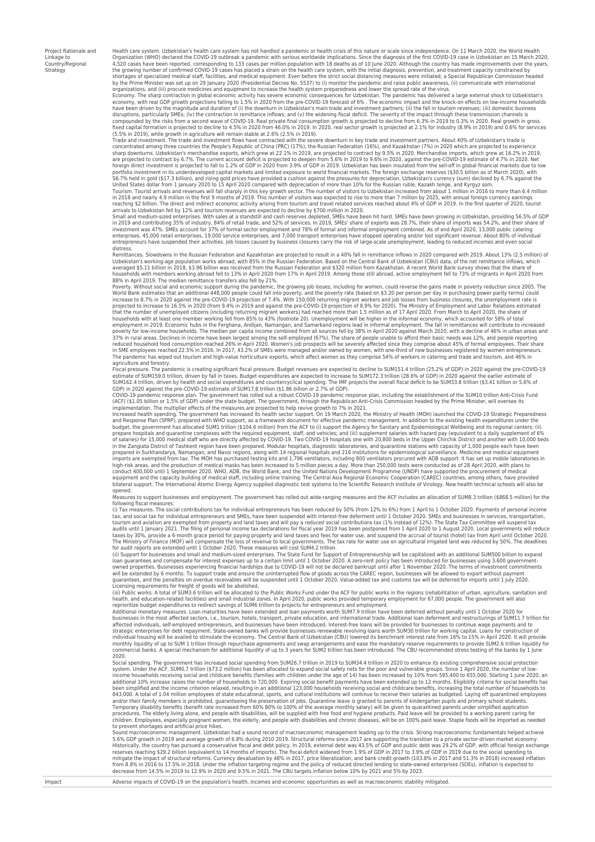Project Rationale and Linkage to Country/Regional Strategy

agriculture and forestry.

Health care system. Uzbekistan's health care system has not handled a pandemic or health crisis of this nature or scale since independence. On 11 March 2020, the World Health Organization (WHO) declared the COVID-19 outbreak a pandemic with serious worldwide implications. Since the diagnosis of the first COVID-19 case in Uzbekistan on 15 March 2020, 4,520 cases have been reported, corresponding to 133 cases per million population with 18 deaths as of 10 June 2020. Although the country has made improvements over the years,<br>the growing number of confirmed COVID-19 cases shortages of specialized medical staff, facilities, and medical equipment. Even before the strict social distancing measures were initiated, a Special Republican Commission headed<br>by the Prime Minister was set up on 29 Jan organizations, and (iii) procure medicines and equipment to increase the health system preparedness and lower the spread rate of the virus.<br>Economy. The sharp contraction in global economic activity has severe economic con

economy, with real GDP growth projections falling to 1.5% in 2020 from the pre-COVID-19 forecast of 6% . The economic impact and the knock-on effects on low-income households have been driven by the magnitude and duration of (i) the downturn in Uzbekistan's main trade and investment partners; (ii) the fall in tourism revenues; (iii) domestic business<br>disruptions, particularly SMEs; (iv) the con

fixed capital formation is projected to decline to 4.5% in 2020 from 46.0% in 2019. In 2020, real sector growth is projected at 2.1% for industry (8.9% in 2019) and 0.6% for services<br>(5.5% in 2019), while growth in agricul sharp downturns. Uzbekistan's merchandise exports, which grew at 22.1% in 2019, are projected to contract by 9.5% in 2020. Merchandise imports, which grew at 16.2% in 2019,<br>are projected to contract by 6.7%. The current ac

56.7% held in gold (\$17.3 billion), and rising gold prices have provided a cushion against the pressures for depreciation. Uzbekistan's currency (sum) declined by 6.7% against the<br>United States dollar from 1 January 2020 t reaching \$2 billion. The direct and indirect economic activity arising from tourism and travel related services reached about 4% of GDP in 2019. In the first quarter of 2020, tourist<br>arrivals to Uzbekistan fell by 12% and

Small and medium-sized enterprises. With sales at a standstill and cash reserves depleted, SMEs have been int hard. SMEs have been growing in Uzbekistan, providing 56.5% of GDP<br>in 2019 and contributing 35% of industry, 84% entrepreneurs have suspended their activities. Job losses caused by business closures carry the risk of large-scale unemployment, leading to reduced incomes and even social distress

Remittances. Slowdowns in the Russian Federation and Kazakhstan are projected to result in a 40% fall in remittance inflows in 2020 compared with 2019. About 13% (2.5 million) of<br>Uzbekistan's working-age population works a averaged \$5.11 billion in 2018, \$3.96 billion was received from the Russian Federation and \$320 million from Kazakhstan. A recent World Bank survey shows that the share of households with members working abroad fell to 13% in April 2020 from 17% in April 2019. Among those still abroad, active employment fell to 73% of migrants in April 2020 from<br>88% in April 2019. The median remittance trans

World Bank estimates that an additional 448,000 people could fall into poverty, and the poverty rate (based on \$3.20 per person per day in purchasing power parity terms) could<br>increase to 8.7% in 2020 against the pre-COVID households with at least one member working fell from 85% to 43% (footnote 20). Unemployment will be higher in the informal economy, which accounted for 58% of total<br>employment in 2019. Economic hubs in the Ferghana, Andig reduced household food consumption reached 26% in April 2020. Women's job prospects will be severely affected since they comprise about 45% of formal employees. Their share<br>in SME employees reached 22.5% in 2016. In 2017,

Fiscal pressure. The pandemic is creating significant fiscal pressure. Budget revenues are expected to decline to SUM151.4 trillion (25.2% of GDP) in 2020 against the pre-COVID-19<br>estimate of SUM159.0 trillion, driven by f

COVID-19 pandemic response plan. The government has rolled out a robust COVID-19 pandemic response plan, including the establishment of the SUM10 trillion Anti-Crisis Fund<br>(ACF) (\$1.05 billion or 1.5% of GDP) under the sta

implementation. The multiplier effects of the measures are projected to help revive growth to 7% in 2021.<br>Increased health spending. The government has increased its health sector support. On 19 March 2020, the Ministry of prepare hospitals and quarantine complexes with the required equipment, staff, and vehicles; and (iii) supplement salaries with hazard pay (equivalent to a daily supplement of 6%<br>of salaries) for 15,000 medical staff who a imports are exempted from tax. The MOH has purchased testing kits and 1,796 ventilators, including 800 ventilators procured with ADB support. It has set up mobile laboratories in<br>high-risk areas, and the production of medi bilateral support. The International Atomic Energy Agency supplied diagnostic test systems to the Scientific Research Institute of Virology. New health technical schools will also be

opened.<br>Measures to support businesses and employment. The government has rolled out wide-ranging measures and the ACF includes an allocation of SUM8.3 trillion (\$868.5 million) for the following fiscal measures:

(i) Tax measures. The social contributions tax for individual entrepreneurs has been reduced by 50% (from 12% to 6%) from 1 April to 1 October 2020. Payments of personal income<br>tourism and social tax for individual entrepr for audit reports are extended until 1 October 2020. These measures will cost SUM4.2 trillion.

(ii) Support for businesses and small and medium-sized enterprises. The State Fund for Support of Entrepreneurship will be capitalized with an additional SUM500 billion to expanc<br>Ioan guarantees and compensate for interest will be extended by 6 months. To support trade and ensure the uninterrupted flow of goods across the CAREC region, businesses will be allowed to export without payment<br>guarantees, and the penalties on overdue receivables w

health, and education-related facilities) and small industrial zones. In April 2020, public works provided temporary employment for 67,000 people. The government will also<br>reprioritize budget expenditures to redirect savin

affected individuals, self-employed entrepreneurs, and businesses have been introduced. Interest-free loans will be provided for businesses to continue wage payments and to<br>strategic enterprises for debt repayment. State-o

2020.<br>Social spending. The government has increased social spending from SUM26.7 trillion in 2019 to SUM34.4 trillion in 2020 to enhance its existing comprehensive social protection<br>System. Under the ACF, SUM0.7 trillion ( procedures. The elderly living alone, and people with disabilities, will be supplied with free food and hygiene products. Paid leave will be provided to a working parent caring for<br>children. Employees, especially pregnant

Sound macroeconomic management. Uzbekistan had a sound record of macroeconomic management leading up to the crisis. Strong macroeconomic fundamentals helped achieve<br>5.6% GDP growth in 2019 and average growth of 6.8% during Historically, the country has pursued a conservative fiscal and debt policy. In 2019, external debt was 43.5% of GDP and public debt was 29.2% of GDP, with official foreign exchange<br>reserves reaching \$29.2 billion (equival from 8.8% in 2016 to 17.5% in 2018. Under the inflation targeting regime and the policy of reduced directed lending to state-owned enterprises (SOEs), inflation is expected to decrease from 14.5% in 2019 to 12.9% in 2020 and 9.5% in 2021. The CBU targets inflation below 10% by 2021 and 5% by 2023.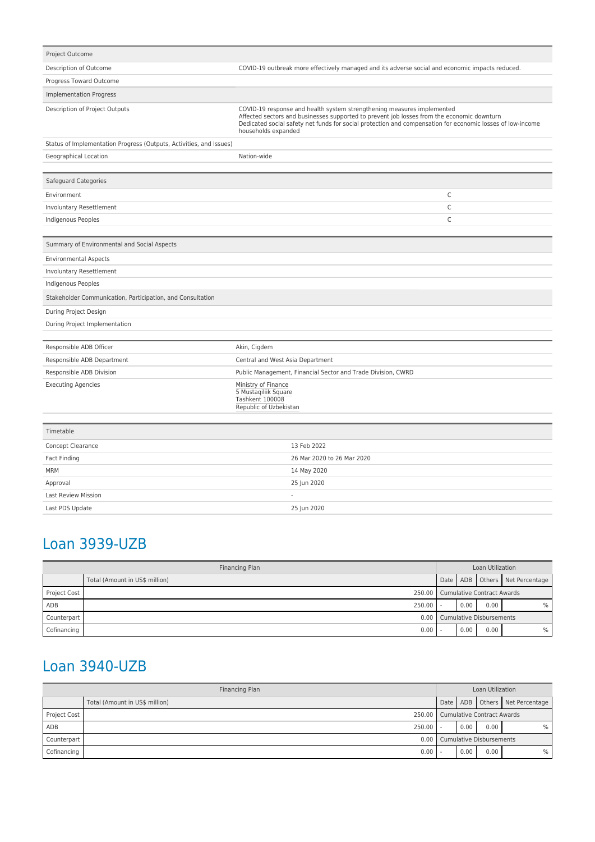| Project Outcome                                                     |                                                                                                                                                                                                                                                                                                           |  |  |  |
|---------------------------------------------------------------------|-----------------------------------------------------------------------------------------------------------------------------------------------------------------------------------------------------------------------------------------------------------------------------------------------------------|--|--|--|
| Description of Outcome                                              | COVID-19 outbreak more effectively managed and its adverse social and economic impacts reduced.                                                                                                                                                                                                           |  |  |  |
| Progress Toward Outcome                                             |                                                                                                                                                                                                                                                                                                           |  |  |  |
| <b>Implementation Progress</b>                                      |                                                                                                                                                                                                                                                                                                           |  |  |  |
| Description of Project Outputs                                      | COVID-19 response and health system strengthening measures implemented<br>Affected sectors and businesses supported to prevent job losses from the economic downturn<br>Dedicated social safety net funds for social protection and compensation for economic losses of low-income<br>households expanded |  |  |  |
| Status of Implementation Progress (Outputs, Activities, and Issues) |                                                                                                                                                                                                                                                                                                           |  |  |  |
| Geographical Location                                               | Nation-wide                                                                                                                                                                                                                                                                                               |  |  |  |
|                                                                     |                                                                                                                                                                                                                                                                                                           |  |  |  |
| Safeguard Categories                                                |                                                                                                                                                                                                                                                                                                           |  |  |  |
| Environment                                                         | С                                                                                                                                                                                                                                                                                                         |  |  |  |
| Involuntary Resettlement                                            | C                                                                                                                                                                                                                                                                                                         |  |  |  |
| Indigenous Peoples                                                  | C                                                                                                                                                                                                                                                                                                         |  |  |  |
|                                                                     |                                                                                                                                                                                                                                                                                                           |  |  |  |
| Summary of Environmental and Social Aspects                         |                                                                                                                                                                                                                                                                                                           |  |  |  |
| <b>Environmental Aspects</b>                                        |                                                                                                                                                                                                                                                                                                           |  |  |  |
| <b>Involuntary Resettlement</b>                                     |                                                                                                                                                                                                                                                                                                           |  |  |  |
| Indigenous Peoples                                                  |                                                                                                                                                                                                                                                                                                           |  |  |  |
| Stakeholder Communication, Participation, and Consultation          |                                                                                                                                                                                                                                                                                                           |  |  |  |
| During Project Design                                               |                                                                                                                                                                                                                                                                                                           |  |  |  |
| During Project Implementation                                       |                                                                                                                                                                                                                                                                                                           |  |  |  |
| Responsible ADB Officer                                             | Akin, Cigdem                                                                                                                                                                                                                                                                                              |  |  |  |
| Responsible ADB Department                                          | Central and West Asia Department                                                                                                                                                                                                                                                                          |  |  |  |
| Responsible ADB Division                                            | Public Management, Financial Sector and Trade Division, CWRD                                                                                                                                                                                                                                              |  |  |  |
| <b>Executing Agencies</b>                                           | Ministry of Finance<br>5 Mustaqiliik Square<br>Tashkent 100008<br>Republic of Uzbekistan                                                                                                                                                                                                                  |  |  |  |
| Timetable                                                           |                                                                                                                                                                                                                                                                                                           |  |  |  |
| Concept Clearance                                                   | 13 Feb 2022                                                                                                                                                                                                                                                                                               |  |  |  |
| Fact Finding                                                        | 26 Mar 2020 to 26 Mar 2020                                                                                                                                                                                                                                                                                |  |  |  |
| <b>MRM</b>                                                          | 14 May 2020                                                                                                                                                                                                                                                                                               |  |  |  |
| Approval                                                            | 25 Jun 2020                                                                                                                                                                                                                                                                                               |  |  |  |
| <b>Last Review Mission</b>                                          | $\overline{a}$                                                                                                                                                                                                                                                                                            |  |  |  |

## Loan 3939-UZB

Last PDS Update 25 Jun 2020

| Financing Plan |                                | Loan Utilization                  |      |      |                                |
|----------------|--------------------------------|-----------------------------------|------|------|--------------------------------|
|                | Total (Amount in US\$ million) |                                   |      |      | Date ADB Others Net Percentage |
| Project Cost   |                                | 250.00 Cumulative Contract Awards |      |      |                                |
| ADB            | 250.00                         |                                   | 0.00 | 0.00 | ℅                              |
| Counterpart    | 0.00                           | <b>Cumulative Disbursements</b>   |      |      |                                |
| Cofinancing    | 0.00                           |                                   | 0.00 | 0.00 | ℅                              |

## Loan 3940-UZB

| Financing Plan |                                | Loan Utilization                  |      |      |                                |
|----------------|--------------------------------|-----------------------------------|------|------|--------------------------------|
|                | Total (Amount in US\$ million) |                                   |      |      | Date ADB Others Net Percentage |
| Project Cost   | 250.00                         | <b>Cumulative Contract Awards</b> |      |      |                                |
| ADB            | 250.00                         |                                   | 0.00 | 0.00 | ℅                              |
| Counterpart    | 0.00                           | <b>Cumulative Disbursements</b>   |      |      |                                |
| Cofinancing    | 0.00                           |                                   | 0.00 | 0.00 | %                              |